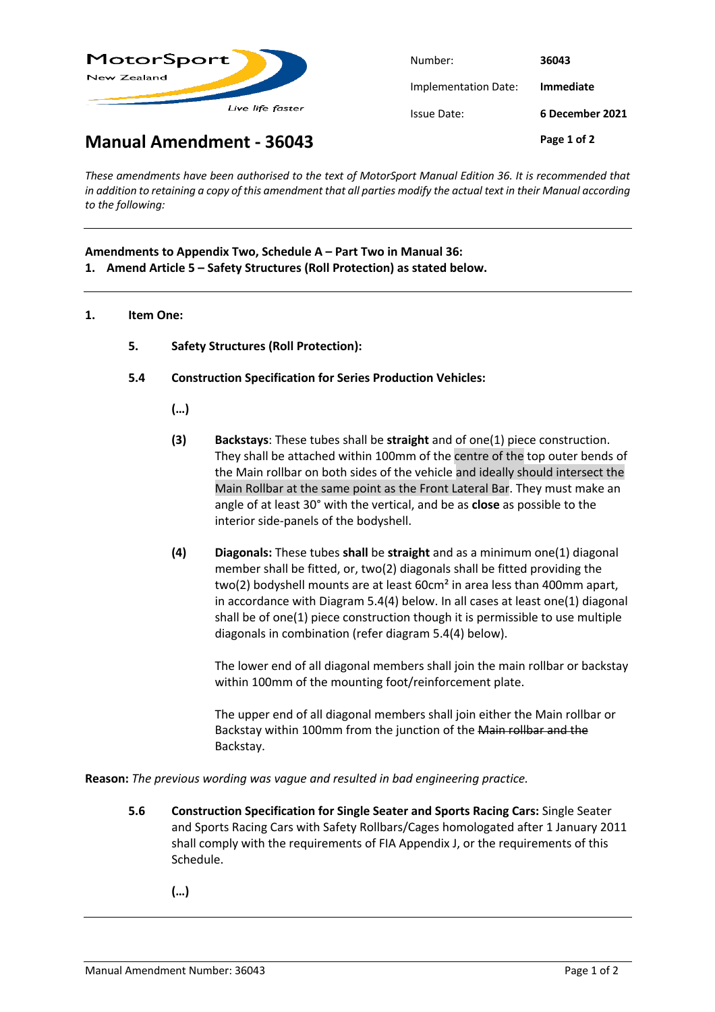

| Number:              | 36043            |
|----------------------|------------------|
| Implementation Date: | <b>Immediate</b> |
| Issue Date:          | 6 December 2021  |
|                      | Page 1 of 2      |

**Manual Amendment - 36043**

*These amendments have been authorised to the text of MotorSport Manual Edition 36. It is recommended that in addition to retaining a copy of this amendment that all parties modify the actual text in their Manual according to the following:*

## **Amendments to Appendix Two, Schedule A – Part Two in Manual 36:**

- **1. Amend Article 5 – Safety Structures (Roll Protection) as stated below.**
- **1. Item One:**
	- **5. Safety Structures (Roll Protection):**
	- **5.4 Construction Specification for Series Production Vehicles:**
		- **(…)**
		- **(3) Backstays**: These tubes shall be **straight** and of one(1) piece construction. They shall be attached within 100mm of the centre of the top outer bends of the Main rollbar on both sides of the vehicle and ideally should intersect the Main Rollbar at the same point as the Front Lateral Bar. They must make an angle of at least 30° with the vertical, and be as **close** as possible to the interior side-panels of the bodyshell.
		- **(4) Diagonals:** These tubes **shall** be **straight** and as a minimum one(1) diagonal member shall be fitted, or, two(2) diagonals shall be fitted providing the two(2) bodyshell mounts are at least 60cm<sup>2</sup> in area less than 400mm apart, in accordance with Diagram 5.4(4) below. In all cases at least one(1) diagonal shall be of one(1) piece construction though it is permissible to use multiple diagonals in combination (refer diagram 5.4(4) below).

The lower end of all diagonal members shall join the main rollbar or backstay within 100mm of the mounting foot/reinforcement plate.

The upper end of all diagonal members shall join either the Main rollbar or Backstay within 100mm from the junction of the Main rollbar and the Backstay.

**Reason:** *The previous wording was vague and resulted in bad engineering practice.*

- **5.6 Construction Specification for Single Seater and Sports Racing Cars:** Single Seater and Sports Racing Cars with Safety Rollbars/Cages homologated after 1 January 2011 shall comply with the requirements of FIA Appendix J, or the requirements of this Schedule.
	- **(…)**